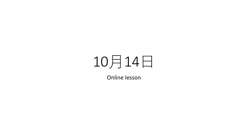## 10月14日

Online lesson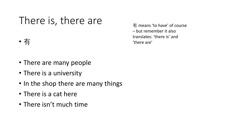## There is, there are

- 有
- There are many people
- There is a university
- In the shop there are many things
- There is a cat here
- There isn't much time

有 means 'to have' of course – but remember it also translates: 'there is' and 'there are'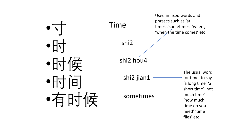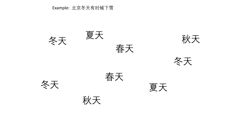## Example: 北京冬天有时候下雪

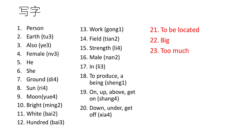写字

- 1. Person
- 2. Earth (tu3)
- 3. Also (ye3)
- 4. Female (nv3)
- 5. He
- 6. She
- 7. Ground (di4)
- 8. Sun (ri4)
- 9. Moon(yue4)
- 10. Bright (ming2)
- 11. White (bai2)
- 12. Hundred (bai3)
- 13. Work (gong1) 14. Field (tian2) 15. Strength (li4) 16. Male (nan2) 17. In (li3) 18. To produce, a being (sheng1) 19. On, up, above, get on (shang4) 20. Down, under, get off (xia4)
- 21. To be located 22. Big 23. Too much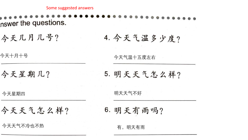nswer the questions.

今天几月几号? 4. 今天气温多少度?

今天十月十号

今天星期几?

今天气温十五度左右

5. 明天天气怎么样?

今天星期四

今天天气怎么样?

今天天气不冷也不热 有。明天有雨

6. 明天有雨吗?

明天天气不好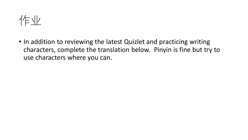

• In addition to reviewing the latest Quizlet and practicing writing characters, complete the translation below. Pinyin is fine but try to use characters where you can.